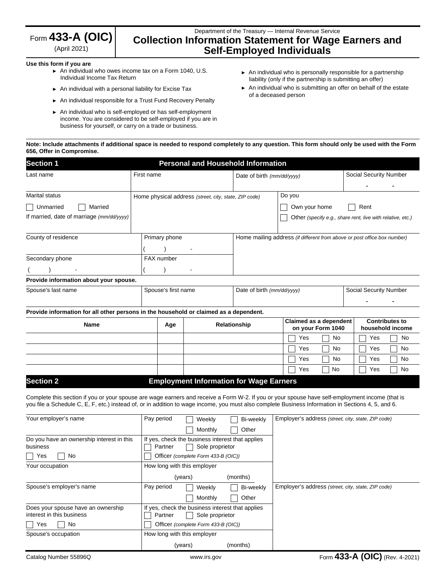| Form $433$ -A (OIC)                |  |
|------------------------------------|--|
| $(\Lambda_{\rm null} \cap \Omega)$ |  |

(April 2021)

# Department of the Treasury — Internal Revenue Service **Collection Information Statement for Wage Earners and Self-Employed Individuals**

#### **Use this form if you are**

- ► An individual who owes income tax on a Form 1040, U.S. Individual Income Tax Return
- ► An individual with a personal liability for Excise Tax
- ► An individual responsible for a Trust Fund Recovery Penalty
- ► An individual who is self-employed or has self-employment income. You are considered to be self-employed if you are in business for yourself, or carry on a trade or business.
- ► An individual who is personally responsible for a partnership liability (only if the partnership is submitting an offer)
- ► An individual who is submitting an offer on behalf of the estate of a deceased person

#### **Note: Include attachments if additional space is needed to respond completely to any question. This form should only be used with the Form 656, Offer in Compromise.**

| <b>Section 1</b>                                                                           | <b>Personal and Household Information</b> |                                                       |                            |                                             |                                                                          |  |  |
|--------------------------------------------------------------------------------------------|-------------------------------------------|-------------------------------------------------------|----------------------------|---------------------------------------------|--------------------------------------------------------------------------|--|--|
| Last name                                                                                  | First name                                |                                                       | Date of birth (mm/dd/yyyy) |                                             | Social Security Number                                                   |  |  |
| <b>Marital status</b><br>Married<br>Unmarried<br>If married, date of marriage (mm/dd/yyyy) |                                           | Home physical address (street, city, state, ZIP code) |                            | Do you<br>Own your home                     | Rent<br>Other (specify e.g., share rent, live with relative, etc.)       |  |  |
| County of residence                                                                        | Primary phone                             |                                                       |                            |                                             | Home mailing address (if different from above or post office box number) |  |  |
| Secondary phone                                                                            | FAX number                                |                                                       |                            |                                             |                                                                          |  |  |
| Provide information about your spouse.                                                     |                                           |                                                       |                            |                                             |                                                                          |  |  |
| Spouse's last name                                                                         |                                           | Spouse's first name                                   |                            | Date of birth (mm/dd/yyyy)                  | Social Security Number                                                   |  |  |
| Provide information for all other persons in the household or claimed as a dependent.      |                                           |                                                       |                            |                                             |                                                                          |  |  |
| Name                                                                                       | Age                                       |                                                       | Relationship               | Claimed as a dependent<br>on your Form 1040 | <b>Contributes to</b><br>household income                                |  |  |
|                                                                                            |                                           |                                                       |                            | Yes<br>No.                                  | No<br>Yes                                                                |  |  |
|                                                                                            |                                           |                                                       |                            | No<br>Yes                                   | No<br>Yes                                                                |  |  |
|                                                                                            |                                           |                                                       |                            | No<br>Yes                                   | No<br>Yes                                                                |  |  |
|                                                                                            |                                           |                                                       |                            | No<br>Yes                                   | No<br>Yes                                                                |  |  |
| <b>Section 2</b>                                                                           |                                           | <b>Employment Information for Wage Earners</b>        |                            |                                             |                                                                          |  |  |

Complete this section if you or your spouse are wage earners and receive a Form W-2. If you or your spouse have self-employment income (that is you file a Schedule C, E, F, etc.) instead of, or in addition to wage income, you must also complete Business Information in Sections 4, 5, and 6.

| Your employer's name                      | Pay period | Weekly                                           | Bi-weekly | Employer's address (street, city, state, ZIP code) |
|-------------------------------------------|------------|--------------------------------------------------|-----------|----------------------------------------------------|
|                                           |            | Monthly                                          | Other     |                                                    |
| Do you have an ownership interest in this |            | If yes, check the business interest that applies |           |                                                    |
| business                                  | Partner    | Sole proprietor                                  |           |                                                    |
| No<br>Yes                                 |            | Officer (complete Form 433-B (OIC))              |           |                                                    |
| Your occupation                           |            | How long with this employer                      |           |                                                    |
|                                           |            | (years)                                          | (months)  |                                                    |
| Spouse's employer's name                  | Pay period | Weekly                                           | Bi-weekly | Employer's address (street, city, state, ZIP code) |
|                                           |            | Monthly                                          | Other     |                                                    |
| Does your spouse have an ownership        |            | If yes, check the business interest that applies |           |                                                    |
| interest in this business                 | Partner    | Sole proprietor                                  |           |                                                    |
| No<br>Yes                                 |            | Officer (complete Form 433-B (OIC))              |           |                                                    |
| Spouse's occupation                       |            | How long with this employer                      |           |                                                    |
|                                           |            | (vears)                                          | (months)  |                                                    |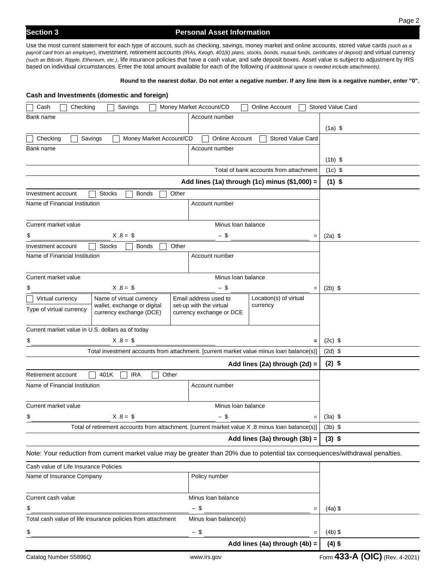Use the most current statement for each type of account, such as checking, savings, money market and online accounts, stored value cards *(such as a payroll card from an employer)*, investment, retirement accounts *(IRAs, Keogh, 401(k) plans, stocks, bonds, mutual funds, certificates of deposit)* and virtual currency *(such as Bitcoin, Ripple, Ethereum, etc.)*, life insurance policies that have a cash value, and safe deposit boxes. Asset value is subject to adjustment by IRS based on individual circumstances. Enter the total amount available for each of the following *(if additional space is needed include attachments).* 

#### **Round to the nearest dollar. Do not enter a negative number. If any line item is a negative number, enter "0".**

|                                                     | Cash and Investments (domestic and foreign)                                                     |       |                                                     |                                               |                                                                                                                                |
|-----------------------------------------------------|-------------------------------------------------------------------------------------------------|-------|-----------------------------------------------------|-----------------------------------------------|--------------------------------------------------------------------------------------------------------------------------------|
| Checking<br>Cash                                    | Savings                                                                                         |       | Money Market Account/CD                             | <b>Online Account</b>                         | <b>Stored Value Card</b>                                                                                                       |
| Bank name                                           |                                                                                                 |       | Account number                                      |                                               |                                                                                                                                |
|                                                     |                                                                                                 |       |                                                     |                                               | $(1a)$ \$                                                                                                                      |
| Checking                                            | Money Market Account/CD<br>Savings                                                              |       | Online Account                                      | <b>Stored Value Card</b>                      |                                                                                                                                |
| Bank name                                           |                                                                                                 |       | Account number                                      |                                               |                                                                                                                                |
|                                                     |                                                                                                 |       |                                                     |                                               | $(1b)$ \$                                                                                                                      |
|                                                     |                                                                                                 |       |                                                     | Total of bank accounts from attachment        | $(1c)$ \$                                                                                                                      |
|                                                     |                                                                                                 |       |                                                     | Add lines (1a) through (1c) minus (\$1,000) = | $(1)$ \$                                                                                                                       |
| Investment account                                  | <b>Stocks</b><br><b>Bonds</b>                                                                   | Other |                                                     |                                               |                                                                                                                                |
| Name of Financial Institution                       |                                                                                                 |       | Account number                                      |                                               |                                                                                                                                |
|                                                     |                                                                                                 |       |                                                     |                                               |                                                                                                                                |
| Current market value                                |                                                                                                 |       | Minus Ioan balance                                  |                                               |                                                                                                                                |
| \$                                                  | $X.8 = $$                                                                                       |       | - \$                                                | $=$                                           | $(2a)$ \$                                                                                                                      |
| Investment account<br>Name of Financial Institution | <b>Bonds</b><br><b>Stocks</b>                                                                   | Other | Account number                                      |                                               |                                                                                                                                |
|                                                     |                                                                                                 |       |                                                     |                                               |                                                                                                                                |
| Current market value                                |                                                                                                 |       | Minus Ioan balance                                  |                                               |                                                                                                                                |
| \$                                                  | $X.8 = $$                                                                                       |       | - \$                                                | $=$                                           | $(2b)$ \$                                                                                                                      |
| Virtual currency                                    | Name of virtual currency                                                                        |       | Email address used to                               | Location(s) of virtual                        |                                                                                                                                |
| Type of virtual currency                            | wallet, exchange or digital<br>currency exchange (DCE)                                          |       | set-up with the virtual<br>currency exchange or DCE | currency                                      |                                                                                                                                |
| Current market value in U.S. dollars as of today    |                                                                                                 |       |                                                     |                                               |                                                                                                                                |
| \$                                                  | $X.8 = $$                                                                                       |       |                                                     | $\qquad \qquad =$                             | $(2c)$ \$                                                                                                                      |
|                                                     | Total investment accounts from attachment. [current market value minus loan balance(s)]         |       |                                                     |                                               | $(2d)$ \$                                                                                                                      |
|                                                     |                                                                                                 |       |                                                     | Add lines (2a) through (2d) =                 | $(2)$ \$                                                                                                                       |
| Retirement account                                  | <b>IRA</b><br>401K<br>Other                                                                     |       |                                                     |                                               |                                                                                                                                |
| Name of Financial Institution                       |                                                                                                 |       | Account number                                      |                                               |                                                                                                                                |
| Current market value                                |                                                                                                 |       |                                                     |                                               |                                                                                                                                |
| \$                                                  | $X.8 = $$                                                                                       |       | \$                                                  |                                               | $(3a)$ \$                                                                                                                      |
|                                                     | Total of retirement accounts from attachment. [current market value X .8 minus loan balance(s)] |       |                                                     |                                               | $(3b)$ \$                                                                                                                      |
|                                                     |                                                                                                 |       |                                                     | Add lines (3a) through (3b) =                 | $(3)$ \$                                                                                                                       |
|                                                     |                                                                                                 |       |                                                     |                                               | Note: Your reduction from current market value may be greater than 20% due to potential tax consequences/withdrawal penalties. |
| Cash value of Life Insurance Policies               |                                                                                                 |       |                                                     |                                               |                                                                                                                                |
| Name of Insurance Company                           |                                                                                                 |       | Policy number                                       |                                               |                                                                                                                                |
| Current cash value                                  |                                                                                                 |       | Minus Ioan balance                                  |                                               |                                                                                                                                |
| \$                                                  |                                                                                                 |       | $-$ \$                                              | $=$                                           | $(4a)$ \$                                                                                                                      |
|                                                     | Total cash value of life insurance policies from attachment                                     |       | Minus Ioan balance(s)                               |                                               |                                                                                                                                |
| \$                                                  |                                                                                                 |       | $-$ \$                                              | $=$                                           | $(4b)$ \$                                                                                                                      |
|                                                     |                                                                                                 |       |                                                     | Add lines (4a) through (4b) =                 | $(4)$ \$                                                                                                                       |
| Catalog Number 55896Q                               |                                                                                                 |       | www.irs.gov                                         |                                               | Form 433-A (OIC) (Rev. 4-2021)                                                                                                 |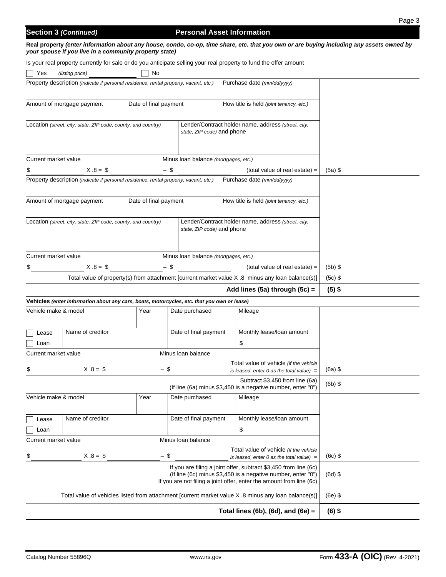# **Section 3 (Continued) Personal Asset Information**

**Real property** *(enter information about any house, condo, co-op, time share, etc. that you own or are buying including any assets owned by your spouse if you live in a community property state)*

|                                                                                                                             | Is your real property currently for sale or do you anticipate selling your real property to fund the offer amount |                       |                                      |                                                                                                                                                                                                          |                                |           |
|-----------------------------------------------------------------------------------------------------------------------------|-------------------------------------------------------------------------------------------------------------------|-----------------------|--------------------------------------|----------------------------------------------------------------------------------------------------------------------------------------------------------------------------------------------------------|--------------------------------|-----------|
| Yes                                                                                                                         | (listing price)                                                                                                   | No                    |                                      |                                                                                                                                                                                                          |                                |           |
|                                                                                                                             | Property description (indicate if personal residence, rental property, vacant, etc.)                              |                       |                                      | Purchase date (mm/dd/yyyy)                                                                                                                                                                               |                                |           |
|                                                                                                                             | Amount of mortgage payment                                                                                        | Date of final payment |                                      | How title is held (joint tenancy, etc.)                                                                                                                                                                  |                                |           |
|                                                                                                                             | Location (street, city, state, ZIP code, county, and country)                                                     |                       | state, ZIP code) and phone           | Lender/Contract holder name, address (street, city,                                                                                                                                                      |                                |           |
| Current market value                                                                                                        |                                                                                                                   |                       | Minus Ioan balance (mortgages, etc.) |                                                                                                                                                                                                          |                                |           |
| \$                                                                                                                          | $X.8 = $$                                                                                                         | $-$ \$                |                                      |                                                                                                                                                                                                          | (total value of real estate) = | $(5a)$ \$ |
|                                                                                                                             | Property description (indicate if personal residence, rental property, vacant, etc.)                              |                       |                                      | Purchase date (mm/dd/yyyy)                                                                                                                                                                               |                                |           |
|                                                                                                                             | Amount of mortgage payment                                                                                        | Date of final payment |                                      | How title is held (joint tenancy, etc.)                                                                                                                                                                  |                                |           |
|                                                                                                                             | Location (street, city, state, ZIP code, county, and country)                                                     |                       | state, ZIP code) and phone           | Lender/Contract holder name, address (street, city,                                                                                                                                                      |                                |           |
|                                                                                                                             |                                                                                                                   |                       |                                      |                                                                                                                                                                                                          |                                |           |
| Current market value<br>Minus Ioan balance (mortgages, etc.)<br>$X.8 = $$<br>- \$<br>\$<br>$(total value of real estate) =$ |                                                                                                                   |                       |                                      |                                                                                                                                                                                                          | $(5b)$ \$                      |           |
|                                                                                                                             | Total value of property(s) from attachment [current market value X .8 minus any loan balance(s)]                  |                       |                                      |                                                                                                                                                                                                          |                                | $(5c)$ \$ |
|                                                                                                                             |                                                                                                                   |                       |                                      | Add lines (5a) through (5c) =                                                                                                                                                                            |                                | $(5)$ \$  |
|                                                                                                                             | Vehicles (enter information about any cars, boats, motorcycles, etc. that you own or lease)                       |                       |                                      |                                                                                                                                                                                                          |                                |           |
| Vehicle make & model                                                                                                        |                                                                                                                   | Year                  | Date purchased                       | Mileage                                                                                                                                                                                                  |                                |           |
| Lease                                                                                                                       | Name of creditor                                                                                                  |                       | Date of final payment                | Monthly lease/loan amount                                                                                                                                                                                |                                |           |
| Loan                                                                                                                        |                                                                                                                   |                       | Minus Ioan balance                   | \$                                                                                                                                                                                                       |                                |           |
| Current market value                                                                                                        |                                                                                                                   |                       |                                      | Total value of vehicle (if the vehicle                                                                                                                                                                   |                                |           |
| \$                                                                                                                          | $X.8 = $$                                                                                                         | - \$                  |                                      | is leased, enter 0 as the total value) $=$                                                                                                                                                               |                                | $(6a)$ \$ |
|                                                                                                                             |                                                                                                                   |                       |                                      | Subtract \$3,450 from line (6a)<br>(If line (6a) minus \$3,450 is a negative number, enter "0")                                                                                                          |                                | $(6b)$ \$ |
| Vehicle make & model                                                                                                        |                                                                                                                   | Year                  | Date purchased                       | Mileage                                                                                                                                                                                                  |                                |           |
| Lease                                                                                                                       | Name of creditor                                                                                                  |                       | Date of final payment                | Monthly lease/loan amount                                                                                                                                                                                |                                |           |
| Loan                                                                                                                        |                                                                                                                   |                       |                                      | \$                                                                                                                                                                                                       |                                |           |
| Current market value                                                                                                        |                                                                                                                   |                       | Minus Ioan balance                   |                                                                                                                                                                                                          |                                |           |
| \$                                                                                                                          | $X.8 = $$                                                                                                         | $-$ \$                |                                      | Total value of vehicle (if the vehicle<br>is leased, enter 0 as the total value) $=$                                                                                                                     |                                | $(6c)$ \$ |
|                                                                                                                             |                                                                                                                   |                       |                                      | If you are filing a joint offer, subtract \$3,450 from line (6c)<br>(If line (6c) minus \$3,450 is a negative number, enter "0")<br>If you are not filing a joint offer, enter the amount from line (6c) |                                | $(6d)$ \$ |
|                                                                                                                             |                                                                                                                   |                       |                                      |                                                                                                                                                                                                          |                                |           |
|                                                                                                                             |                                                                                                                   |                       |                                      | Total value of vehicles listed from attachment [current market value X .8 minus any loan balance(s)]                                                                                                     |                                | $(6e)$ \$ |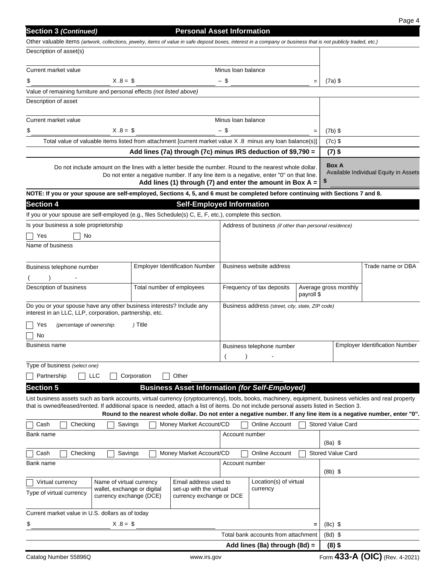| <b>Section 3 (Continued)</b>                                                                                                                                    |                           | <b>Personal Asset Information</b>                                                                                                                      |                                         |                                                                      |     |                          |                                                                                                                      |
|-----------------------------------------------------------------------------------------------------------------------------------------------------------------|---------------------------|--------------------------------------------------------------------------------------------------------------------------------------------------------|-----------------------------------------|----------------------------------------------------------------------|-----|--------------------------|----------------------------------------------------------------------------------------------------------------------|
| Other valuable items (artwork, collections, jewelry, items of value in safe deposit boxes, interest in a company or business that is not publicly traded, etc.) |                           |                                                                                                                                                        |                                         |                                                                      |     |                          |                                                                                                                      |
| Description of asset(s)                                                                                                                                         |                           |                                                                                                                                                        |                                         |                                                                      |     |                          |                                                                                                                      |
| Current market value                                                                                                                                            |                           |                                                                                                                                                        | Minus Ioan balance                      |                                                                      |     |                          |                                                                                                                      |
| $X.8 = $$<br>\$                                                                                                                                                 |                           |                                                                                                                                                        | $-$ \$                                  |                                                                      | $=$ | $(7a)$ \$                |                                                                                                                      |
| Value of remaining furniture and personal effects (not listed above)                                                                                            |                           |                                                                                                                                                        |                                         |                                                                      |     |                          |                                                                                                                      |
| Description of asset                                                                                                                                            |                           |                                                                                                                                                        |                                         |                                                                      |     |                          |                                                                                                                      |
| Current market value                                                                                                                                            |                           |                                                                                                                                                        | Minus Ioan balance                      |                                                                      |     |                          |                                                                                                                      |
| $X.8 = $$<br>\$                                                                                                                                                 |                           |                                                                                                                                                        | - \$                                    |                                                                      |     | $(7b)$ \$                |                                                                                                                      |
| Total value of valuable items listed from attachment [current market value X .8 minus any loan balance(s)]                                                      |                           |                                                                                                                                                        |                                         |                                                                      |     | $(7c)$ \$                |                                                                                                                      |
|                                                                                                                                                                 |                           | Add lines (7a) through (7c) minus IRS deduction of \$9,790 =                                                                                           |                                         |                                                                      |     | $(7)$ \$                 |                                                                                                                      |
| Do not include amount on the lines with a letter beside the number. Round to the nearest whole dollar.                                                          |                           | Do not enter a negative number. If any line item is a negative, enter "0" on that line.<br>Add lines (1) through (7) and enter the amount in Box $A =$ |                                         |                                                                      |     | <b>Box A</b>             | Available Individual Equity in Assets                                                                                |
| NOTE: If you or your spouse are self-employed, Sections 4, 5, and 6 must be completed before continuing with Sections 7 and 8.                                  |                           |                                                                                                                                                        |                                         |                                                                      |     |                          |                                                                                                                      |
| <b>Section 4</b>                                                                                                                                                |                           | <b>Self-Employed Information</b>                                                                                                                       |                                         |                                                                      |     |                          |                                                                                                                      |
| If you or your spouse are self-employed (e.g., files Schedule(s) C, E, F, etc.), complete this section.                                                         |                           |                                                                                                                                                        |                                         |                                                                      |     |                          |                                                                                                                      |
| Is your business a sole proprietorship                                                                                                                          |                           |                                                                                                                                                        |                                         | Address of business (if other than personal residence)               |     |                          |                                                                                                                      |
| No<br>Yes                                                                                                                                                       |                           |                                                                                                                                                        |                                         |                                                                      |     |                          |                                                                                                                      |
| Name of business                                                                                                                                                |                           |                                                                                                                                                        |                                         |                                                                      |     |                          |                                                                                                                      |
|                                                                                                                                                                 |                           |                                                                                                                                                        |                                         | Business website address                                             |     |                          |                                                                                                                      |
| Business telephone number                                                                                                                                       |                           | <b>Employer Identification Number</b>                                                                                                                  |                                         |                                                                      |     |                          | Trade name or DBA                                                                                                    |
| Description of business                                                                                                                                         | Total number of employees |                                                                                                                                                        |                                         |                                                                      |     | Average gross monthly    |                                                                                                                      |
|                                                                                                                                                                 |                           |                                                                                                                                                        | Frequency of tax deposits<br>payroll \$ |                                                                      |     |                          |                                                                                                                      |
| Do you or your spouse have any other business interests? Include any<br>interest in an LLC, LLP, corporation, partnership, etc.                                 |                           |                                                                                                                                                        |                                         | Business address (street, city, state, ZIP code)                     |     |                          |                                                                                                                      |
| (percentage of ownership:<br>Yes                                                                                                                                | ) Title                   |                                                                                                                                                        |                                         |                                                                      |     |                          |                                                                                                                      |
| No                                                                                                                                                              |                           |                                                                                                                                                        |                                         |                                                                      |     |                          |                                                                                                                      |
| Business name                                                                                                                                                   |                           |                                                                                                                                                        |                                         | Business telephone number                                            |     |                          | <b>Employer Identification Number</b>                                                                                |
| Type of business (select one)                                                                                                                                   |                           |                                                                                                                                                        |                                         |                                                                      |     |                          |                                                                                                                      |
| $\Box$ LLC<br>Partnership                                                                                                                                       | Corporation               | Other                                                                                                                                                  |                                         |                                                                      |     |                          |                                                                                                                      |
| <b>Section 5</b>                                                                                                                                                |                           | <b>Business Asset Information (for Self-Employed)</b>                                                                                                  |                                         |                                                                      |     |                          |                                                                                                                      |
| List business assets such as bank accounts, virtual currency (cryptocurrency), tools, books, machinery, equipment, business vehicles and real property          |                           |                                                                                                                                                        |                                         |                                                                      |     |                          |                                                                                                                      |
| that is owned/leased/rented. If additional space is needed, attach a list of items. Do not include personal assets listed in Section 3.                         |                           |                                                                                                                                                        |                                         |                                                                      |     |                          |                                                                                                                      |
|                                                                                                                                                                 |                           |                                                                                                                                                        |                                         |                                                                      |     |                          | Round to the nearest whole dollar. Do not enter a negative number. If any line item is a negative number, enter "0". |
| Cash<br>Checking<br>Savings                                                                                                                                     |                           | Money Market Account/CD                                                                                                                                |                                         | <b>Online Account</b>                                                |     | <b>Stored Value Card</b> |                                                                                                                      |
| Bank name                                                                                                                                                       |                           |                                                                                                                                                        | Account number                          |                                                                      |     | $(8a)$ \$                |                                                                                                                      |
| Cash<br>Checking<br>Savings                                                                                                                                     |                           | Money Market Account/CD                                                                                                                                |                                         | <b>Online Account</b>                                                |     | <b>Stored Value Card</b> |                                                                                                                      |
| Bank name                                                                                                                                                       |                           |                                                                                                                                                        | Account number                          |                                                                      |     |                          |                                                                                                                      |
|                                                                                                                                                                 |                           |                                                                                                                                                        |                                         |                                                                      |     | $(8b)$ \$                |                                                                                                                      |
| Name of virtual currency<br>Virtual currency<br>wallet, exchange or digital                                                                                     |                           | Email address used to<br>set-up with the virtual                                                                                                       |                                         | Location(s) of virtual<br>currency                                   |     |                          |                                                                                                                      |
| Type of virtual currency<br>currency exchange (DCE)                                                                                                             |                           | currency exchange or DCE                                                                                                                               |                                         |                                                                      |     |                          |                                                                                                                      |
|                                                                                                                                                                 |                           |                                                                                                                                                        |                                         |                                                                      |     |                          |                                                                                                                      |
| Current market value in U.S. dollars as of today                                                                                                                |                           |                                                                                                                                                        |                                         |                                                                      |     |                          |                                                                                                                      |
| $X.8 = $$<br>\$                                                                                                                                                 |                           |                                                                                                                                                        |                                         |                                                                      |     | $(8c)$ \$                |                                                                                                                      |
|                                                                                                                                                                 |                           |                                                                                                                                                        |                                         | Total bank accounts from attachment<br>Add lines (8a) through (8d) = |     | $(8d)$ \$<br>$(8)$ \$    |                                                                                                                      |
|                                                                                                                                                                 |                           |                                                                                                                                                        |                                         |                                                                      |     |                          |                                                                                                                      |
| Catalog Number 55896Q                                                                                                                                           |                           | www.irs.gov                                                                                                                                            |                                         |                                                                      |     |                          | Form 433-A (OIC) (Rev. 4-2021)                                                                                       |

Page 4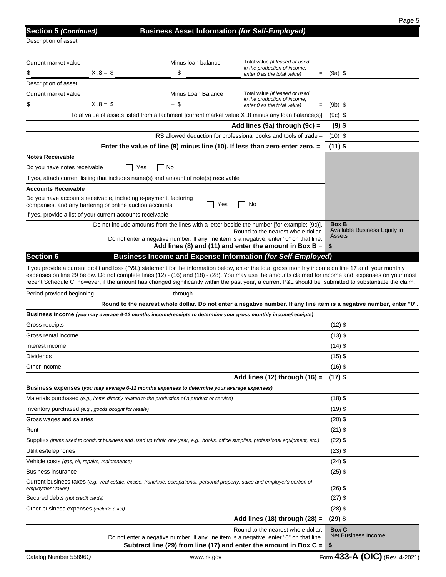| <b>Section 5 (Continue</b> |  |  |  |  |
|----------------------------|--|--|--|--|
|                            |  |  |  |  |

Description of asset

| Current market value                                                                                                                                                                                                                                                                                                                                                                                                                                                 | Minus Ioan balance | Total value (if leased or used<br>in the production of income,                                                                                            |                                                                                                                      |
|----------------------------------------------------------------------------------------------------------------------------------------------------------------------------------------------------------------------------------------------------------------------------------------------------------------------------------------------------------------------------------------------------------------------------------------------------------------------|--------------------|-----------------------------------------------------------------------------------------------------------------------------------------------------------|----------------------------------------------------------------------------------------------------------------------|
| $X.8 = $$<br>\$                                                                                                                                                                                                                                                                                                                                                                                                                                                      | - \$               | enter 0 as the total value)<br>$\quad =$                                                                                                                  | $(9a)$ \$                                                                                                            |
| Description of asset:                                                                                                                                                                                                                                                                                                                                                                                                                                                |                    |                                                                                                                                                           |                                                                                                                      |
| Current market value                                                                                                                                                                                                                                                                                                                                                                                                                                                 | Minus Loan Balance | Total value (if leased or used<br>in the production of income,                                                                                            |                                                                                                                      |
| $X.8 = $$<br>\$                                                                                                                                                                                                                                                                                                                                                                                                                                                      | - \$               | enter 0 as the total value)<br>$=$                                                                                                                        | $(9b)$ \$                                                                                                            |
| Total value of assets listed from attachment [current market value X .8 minus any loan balance(s)]                                                                                                                                                                                                                                                                                                                                                                   |                    |                                                                                                                                                           | $(9c)$ \$                                                                                                            |
|                                                                                                                                                                                                                                                                                                                                                                                                                                                                      |                    | Add lines (9a) through (9c) =                                                                                                                             | $(9)$ \$                                                                                                             |
|                                                                                                                                                                                                                                                                                                                                                                                                                                                                      |                    | IRS allowed deduction for professional books and tools of trade -                                                                                         | $(10)$ \$                                                                                                            |
|                                                                                                                                                                                                                                                                                                                                                                                                                                                                      |                    | Enter the value of line (9) minus line (10). If less than zero enter zero. $=$                                                                            | $(11)$ \$                                                                                                            |
| <b>Notes Receivable</b>                                                                                                                                                                                                                                                                                                                                                                                                                                              |                    |                                                                                                                                                           |                                                                                                                      |
| Do you have notes receivable<br>Yes                                                                                                                                                                                                                                                                                                                                                                                                                                  | No                 |                                                                                                                                                           |                                                                                                                      |
| If yes, attach current listing that includes name(s) and amount of note(s) receivable                                                                                                                                                                                                                                                                                                                                                                                |                    |                                                                                                                                                           |                                                                                                                      |
| <b>Accounts Receivable</b>                                                                                                                                                                                                                                                                                                                                                                                                                                           |                    |                                                                                                                                                           |                                                                                                                      |
| Do you have accounts receivable, including e-payment, factoring<br>companies, and any bartering or online auction accounts                                                                                                                                                                                                                                                                                                                                           | Yes                | No                                                                                                                                                        |                                                                                                                      |
| If yes, provide a list of your current accounts receivable                                                                                                                                                                                                                                                                                                                                                                                                           |                    |                                                                                                                                                           |                                                                                                                      |
|                                                                                                                                                                                                                                                                                                                                                                                                                                                                      |                    | Do not include amounts from the lines with a letter beside the number [for example: (9c)].<br>Round to the nearest whole dollar.                          | <b>Box B</b><br>Available Business Equity in<br>Assets                                                               |
|                                                                                                                                                                                                                                                                                                                                                                                                                                                                      |                    | Do not enter a negative number. If any line item is a negative, enter "0" on that line.<br>Add lines (8) and (11) and enter the amount in Box B = $\vert$ | \$                                                                                                                   |
| Section <sub>6</sub>                                                                                                                                                                                                                                                                                                                                                                                                                                                 |                    | Business Income and Expense Information (for Self-Employed)                                                                                               |                                                                                                                      |
| If you provide a current profit and loss (P&L) statement for the information below, enter the total gross monthly income on line 17 and your monthly<br>expenses on line 29 below. Do not complete lines (12) - (16) and (18) - (28). You may use the amounts claimed for income and expenses on your most<br>recent Schedule C; however, if the amount has changed significantly within the past year, a current P&L should be submitted to substantiate the claim. |                    |                                                                                                                                                           |                                                                                                                      |
| Period provided beginning                                                                                                                                                                                                                                                                                                                                                                                                                                            | through            |                                                                                                                                                           |                                                                                                                      |
|                                                                                                                                                                                                                                                                                                                                                                                                                                                                      |                    |                                                                                                                                                           | Round to the nearest whole dollar. Do not enter a negative number. If any line item is a negative number, enter "0". |
| Business income (you may average 6-12 months income/receipts to determine your gross monthly income/receipts)                                                                                                                                                                                                                                                                                                                                                        |                    |                                                                                                                                                           |                                                                                                                      |
| Gross receipts                                                                                                                                                                                                                                                                                                                                                                                                                                                       |                    |                                                                                                                                                           | $(12)$ \$                                                                                                            |
| Gross rental income                                                                                                                                                                                                                                                                                                                                                                                                                                                  |                    |                                                                                                                                                           | $(13)$ \$                                                                                                            |
| Interest income                                                                                                                                                                                                                                                                                                                                                                                                                                                      |                    |                                                                                                                                                           | $(14)$ \$                                                                                                            |
| Dividends                                                                                                                                                                                                                                                                                                                                                                                                                                                            |                    |                                                                                                                                                           | $(15)$ \$                                                                                                            |
| Other income                                                                                                                                                                                                                                                                                                                                                                                                                                                         |                    |                                                                                                                                                           | $(16)$ \$                                                                                                            |
|                                                                                                                                                                                                                                                                                                                                                                                                                                                                      |                    | Add lines (12) through (16) =                                                                                                                             | $(17)$ \$                                                                                                            |
| Business expenses (you may average 6-12 months expenses to determine your average expenses)                                                                                                                                                                                                                                                                                                                                                                          |                    |                                                                                                                                                           |                                                                                                                      |
| Materials purchased (e.g., items directly related to the production of a product or service)                                                                                                                                                                                                                                                                                                                                                                         |                    |                                                                                                                                                           | $(18)$ \$                                                                                                            |
| Inventory purchased (e.g., goods bought for resale)                                                                                                                                                                                                                                                                                                                                                                                                                  |                    |                                                                                                                                                           | $(19)$ \$                                                                                                            |
| Gross wages and salaries                                                                                                                                                                                                                                                                                                                                                                                                                                             |                    |                                                                                                                                                           | $(20)$ \$                                                                                                            |
| Rent                                                                                                                                                                                                                                                                                                                                                                                                                                                                 |                    |                                                                                                                                                           | $(21)$ \$                                                                                                            |
| Supplies (items used to conduct business and used up within one year, e.g., books, office supplies, professional equipment, etc.)                                                                                                                                                                                                                                                                                                                                    |                    |                                                                                                                                                           | $(22)$ \$                                                                                                            |
| Utilities/telephones                                                                                                                                                                                                                                                                                                                                                                                                                                                 |                    |                                                                                                                                                           | $(23)$ \$                                                                                                            |
| Vehicle costs (gas, oil, repairs, maintenance)                                                                                                                                                                                                                                                                                                                                                                                                                       |                    |                                                                                                                                                           | $(24)$ \$                                                                                                            |
| <b>Business insurance</b>                                                                                                                                                                                                                                                                                                                                                                                                                                            |                    |                                                                                                                                                           | $(25)$ \$                                                                                                            |
| Current business taxes (e.g., real estate, excise, franchise, occupational, personal property, sales and employer's portion of<br>employment taxes)                                                                                                                                                                                                                                                                                                                  |                    |                                                                                                                                                           | $(26)$ \$                                                                                                            |
| Secured debts (not credit cards)                                                                                                                                                                                                                                                                                                                                                                                                                                     |                    |                                                                                                                                                           | $(27)$ \$                                                                                                            |
| Other business expenses (include a list)                                                                                                                                                                                                                                                                                                                                                                                                                             |                    |                                                                                                                                                           | $(28)$ \$                                                                                                            |
|                                                                                                                                                                                                                                                                                                                                                                                                                                                                      |                    | Add lines (18) through $(28)$ =                                                                                                                           | $(29)$ \$                                                                                                            |
|                                                                                                                                                                                                                                                                                                                                                                                                                                                                      |                    | Round to the nearest whole dollar.<br>Do not enter a negative number. If any line item is a negative, enter "0" on that line.                             | <b>Box C</b><br>Net Business Income                                                                                  |

**Subtract line (29) from line (17) and enter the amount in Box C = \$**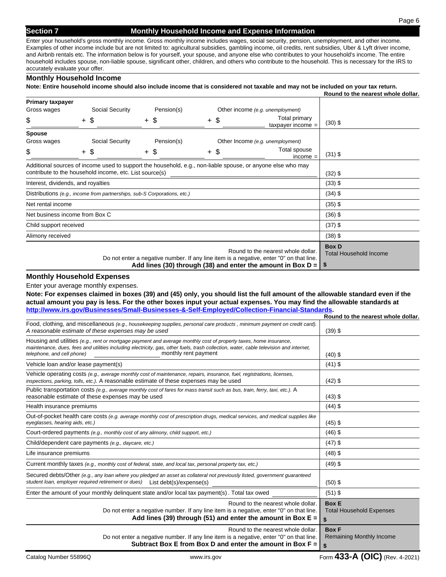### **Section 7 Monthly Household Income and Expense Information**

Page 6

Enter your household's gross monthly income. Gross monthly income includes wages, social security, pension, unemployment, and other income. Examples of other income include but are not limited to: agricultural subsidies, gambling income, oil credits, rent subsidies, Uber & Lyft driver income, and Airbnb rentals etc. The information below is for yourself, your spouse, and anyone else who contributes to your household's income. The entire household includes spouse, non-liable spouse, significant other, children, and others who contribute to the household. This is necessary for the IRS to accurately evaluate your offer.

#### **Monthly Household Income**

**Note: Entire household income should also include income that is considered not taxable and may not be included on your tax return.** 

|                                    |  |                                                                          |  |            |        |           |                                                                                                                                                                                                | Round to the nearest whole dollar.                  |
|------------------------------------|--|--------------------------------------------------------------------------|--|------------|--------|-----------|------------------------------------------------------------------------------------------------------------------------------------------------------------------------------------------------|-----------------------------------------------------|
| <b>Primary taxpayer</b>            |  |                                                                          |  |            |        |           |                                                                                                                                                                                                |                                                     |
| Gross wages                        |  | Social Security                                                          |  | Pension(s) |        |           | Other income (e.g. unemployment)                                                                                                                                                               |                                                     |
| \$                                 |  | + \$                                                                     |  | + \$       | $+$ \$ |           | Total primary<br>taxpayer income $=$                                                                                                                                                           | $(30)$ \$                                           |
| <b>Spouse</b>                      |  |                                                                          |  |            |        |           |                                                                                                                                                                                                |                                                     |
| Gross wages                        |  | Social Security                                                          |  | Pension(s) |        |           | Other Income (e.g. unemployment)                                                                                                                                                               |                                                     |
| \$                                 |  | $+$ \$                                                                   |  | + \$       | $+$ \$ |           | Total spouse<br>$income =$                                                                                                                                                                     | $(31)$ \$                                           |
|                                    |  |                                                                          |  |            |        |           | Additional sources of income used to support the household, e.g., non-liable spouse, or anyone else who may                                                                                    |                                                     |
|                                    |  | contribute to the household income, etc. List source(s)                  |  |            |        |           |                                                                                                                                                                                                | $(32)$ \$                                           |
| Interest, dividends, and royalties |  |                                                                          |  |            |        | $(33)$ \$ |                                                                                                                                                                                                |                                                     |
|                                    |  | Distributions (e.g., income from partnerships, sub-S Corporations, etc.) |  |            |        |           |                                                                                                                                                                                                | $(34)$ \$                                           |
| Net rental income                  |  |                                                                          |  |            |        |           | $(35)$ \$                                                                                                                                                                                      |                                                     |
| Net business income from Box C     |  |                                                                          |  |            |        |           |                                                                                                                                                                                                | $(36)$ \$                                           |
| Child support received             |  |                                                                          |  |            |        | $(37)$ \$ |                                                                                                                                                                                                |                                                     |
| Alimony received                   |  |                                                                          |  |            |        |           |                                                                                                                                                                                                | $(38)$ \$                                           |
|                                    |  |                                                                          |  |            |        |           | Round to the nearest whole dollar.<br>Do not enter a negative number. If any line item is a negative, enter "0" on that line.<br>Add lines (30) through (38) and enter the amount in Box $D =$ | <b>Box D</b><br><b>Total Household Income</b><br>-S |

#### **Monthly Household Expenses**

Enter your average monthly expenses.

**Note: For expenses claimed in boxes (39) and (45) only, you should list the full amount of the allowable standard even if the actual amount you pay is less. For the other boxes input your actual expenses. You may find the allowable standards at http://www.irs.gov/Businesses/Small-Businesses-&-Self-Employed/Collection-Financial-Standards.**

|                                                                                                                                                                                                                                                                                                                   | Round to the nearest whole dollar.                    |
|-------------------------------------------------------------------------------------------------------------------------------------------------------------------------------------------------------------------------------------------------------------------------------------------------------------------|-------------------------------------------------------|
| Food, clothing, and miscellaneous (e.g., housekeeping supplies, personal care products, minimum payment on credit card).<br>A reasonable estimate of these expenses may be used                                                                                                                                   | $(39)$ \$                                             |
| Housing and utilities (e.g., rent or mortgage payment and average monthly cost of property taxes, home insurance,<br>maintenance, dues, fees and utilities including electricity, gas, other fuels, trash collection, water, cable television and internet,<br>monthly rent payment<br>telephone, and cell phone) | $(40)$ \$                                             |
| Vehicle loan and/or lease payment(s)                                                                                                                                                                                                                                                                              | $(41)$ \$                                             |
| Vehicle operating costs (e.g., average monthly cost of maintenance, repairs, insurance, fuel, registrations, licenses,<br>inspections, parking, tolls, etc.). A reasonable estimate of these expenses may be used                                                                                                 | $(42)$ \$                                             |
| Public transportation costs (e.g., average monthly cost of fares for mass transit such as bus, train, ferry, taxi, etc.). A<br>reasonable estimate of these expenses may be used                                                                                                                                  | $(43)$ \$                                             |
| Health insurance premiums                                                                                                                                                                                                                                                                                         | $(44)$ \$                                             |
| Out-of-pocket health care costs (e.g. average monthly cost of prescription drugs, medical services, and medical supplies like<br>eyeglasses, hearing aids, etc.)                                                                                                                                                  | $(45)$ \$                                             |
| Court-ordered payments (e.g., monthly cost of any alimony, child support, etc.)                                                                                                                                                                                                                                   | $(46)$ \$                                             |
| Child/dependent care payments (e.g., daycare, etc.)                                                                                                                                                                                                                                                               | $(47)$ \$                                             |
| Life insurance premiums                                                                                                                                                                                                                                                                                           | $(48)$ \$                                             |
| Current monthly taxes (e.g., monthly cost of federal, state, and local tax, personal property tax, etc.)                                                                                                                                                                                                          | $(49)$ \$                                             |
| Secured debts/Other (e.g., any loan where you pledged an asset as collateral not previously listed, government guaranteed<br>student loan, employer required retirement or dues) List debt(s)/expense(s)                                                                                                          | $(50)$ \$                                             |
| Enter the amount of your monthly delinguent state and/or local tax payment(s). Total tax owed                                                                                                                                                                                                                     | $(51)$ \$                                             |
| Round to the nearest whole dollar.<br>Do not enter a negative number. If any line item is a negative, enter "0" on that line.<br>Add lines (39) through (51) and enter the amount in Box $E =$                                                                                                                    | <b>Box E</b><br><b>Total Household Expenses</b><br>\$ |
| Round to the nearest whole dollar.<br>Do not enter a negative number. If any line item is a negative, enter "0" on that line.<br>Subtract Box E from Box D and enter the amount in Box $F =$                                                                                                                      | <b>Box F</b><br>Remaining Monthly Income<br>\$        |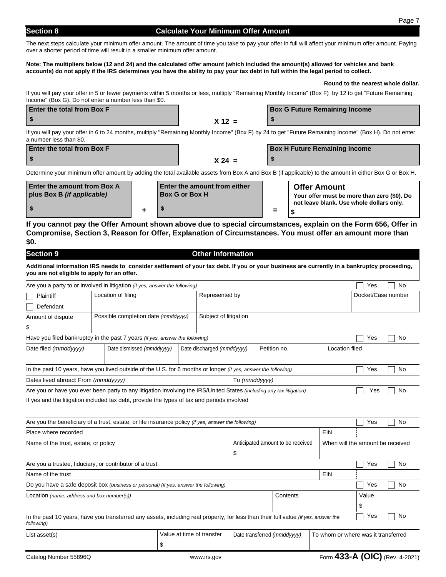# **Section 8 Calculate Your Minimum Offer Amount**

The next steps calculate your minimum offer amount. The amount of time you take to pay your offer in full will affect your minimum offer amount. Paying over a shorter period of time will result in a smaller minimum offer amount.

#### **Note: The multipliers below (12 and 24) and the calculated offer amount (which included the amount(s) allowed for vehicles and bank accounts) do not apply if the IRS determines you have the ability to pay your tax debt in full within the legal period to collect.**

#### **Round to the nearest whole dollar.**

If you will pay your offer in 5 or fewer payments within 5 months or less, multiply "Remaining Monthly Income" (Box F) by 12 to get "Future Remaining Income" (Box G). Do not enter a number less than \$0.

| <b>Enter the total from Box F</b> |  | <b>Box G Future Remaining Income</b> |  |  |  |
|-----------------------------------|--|--------------------------------------|--|--|--|
|                                   |  |                                      |  |  |  |
|                                   |  |                                      |  |  |  |

If you will pay your offer in 6 to 24 months, multiply "Remaining Monthly Income" (Box F) by 24 to get "Future Remaining Income" (Box H). Do not enter a number less than \$0.

| <b>Enter the total from Box F</b> |          | <b>Box H Future Remaining Income</b> |
|-----------------------------------|----------|--------------------------------------|
|                                   | $X 24 =$ |                                      |

Determine your minimum offer amount by adding the total available assets from Box A and Box B (if applicable) to the amount in either Box G or Box H.

| Enter the amount from Box A<br>plus Box B <i>(if applicable)</i> | <b>Enter the amount from either</b><br><b>Box G or Box H</b> |          | <b>Offer Amount</b><br>Your offer must be more than zero (\$0). Do |
|------------------------------------------------------------------|--------------------------------------------------------------|----------|--------------------------------------------------------------------|
|                                                                  |                                                              | $\equiv$ | not leave blank. Use whole dollars only.                           |

**If you cannot pay the Offer Amount shown above due to special circumstances, explain on the Form 656, Offer in Compromise, Section 3, Reason for Offer, Explanation of Circumstances. You must offer an amount more than \$0.**

| <b>Section 9</b>                                     |                                                                                                                                             |                           | <b>Other Information</b>    |                                   |                                     |              |                    |                |                                  |                                |  |
|------------------------------------------------------|---------------------------------------------------------------------------------------------------------------------------------------------|---------------------------|-----------------------------|-----------------------------------|-------------------------------------|--------------|--------------------|----------------|----------------------------------|--------------------------------|--|
| you are not eligible to apply for an offer.          | Additional information IRS needs to consider settlement of your tax debt. If you or your business are currently in a bankruptcy proceeding, |                           |                             |                                   |                                     |              |                    |                |                                  |                                |  |
|                                                      | Are you a party to or involved in litigation (if yes, answer the following)                                                                 |                           |                             |                                   |                                     |              |                    |                | Yes                              | No                             |  |
| Plaintiff                                            | Location of filing                                                                                                                          |                           | Represented by              |                                   |                                     |              | Docket/Case number |                |                                  |                                |  |
| Defendant                                            |                                                                                                                                             |                           |                             |                                   |                                     |              |                    |                |                                  |                                |  |
| Amount of dispute                                    | Subject of litigation<br>Possible completion date (mmddyyyy)                                                                                |                           |                             |                                   |                                     |              |                    |                |                                  |                                |  |
| \$                                                   |                                                                                                                                             |                           |                             |                                   |                                     |              |                    |                |                                  |                                |  |
|                                                      | Have you filed bankruptcy in the past 7 years (if yes, answer the following)                                                                |                           |                             |                                   |                                     |              |                    |                | Yes                              | No                             |  |
| Date filed (mmddyyyy)<br>Date dismissed (mmddyyyy)   |                                                                                                                                             |                           | Date discharged (mmddyyyy)  |                                   |                                     | Petition no. |                    | Location filed |                                  |                                |  |
|                                                      | In the past 10 years, have you lived outside of the U.S. for 6 months or longer (if yes, answer the following)                              |                           |                             |                                   |                                     |              |                    |                | Yes                              | No                             |  |
| Dates lived abroad: From (mmddyyyy)<br>To (mmddyyyy) |                                                                                                                                             |                           |                             |                                   |                                     |              |                    |                |                                  |                                |  |
|                                                      | Are you or have you ever been party to any litigation involving the IRS/United States (including any tax litigation)                        |                           |                             |                                   |                                     |              |                    |                | Yes                              | No                             |  |
|                                                      | If yes and the litigation included tax debt, provide the types of tax and periods involved                                                  |                           |                             |                                   |                                     |              |                    |                |                                  |                                |  |
|                                                      | Are you the beneficiary of a trust, estate, or life insurance policy (if yes, answer the following)                                         |                           |                             |                                   |                                     |              |                    |                | Yes                              | No                             |  |
| Place where recorded                                 |                                                                                                                                             |                           |                             |                                   |                                     |              |                    | EIN            |                                  |                                |  |
| Name of the trust, estate, or policy                 |                                                                                                                                             |                           |                             | Anticipated amount to be received |                                     |              |                    |                | When will the amount be received |                                |  |
| \$                                                   |                                                                                                                                             |                           |                             |                                   |                                     |              |                    |                |                                  |                                |  |
|                                                      | Are you a trustee, fiduciary, or contributor of a trust                                                                                     |                           |                             |                                   |                                     |              |                    |                | Yes                              | No                             |  |
| EIN<br>Name of the trust                             |                                                                                                                                             |                           |                             |                                   |                                     |              |                    |                |                                  |                                |  |
|                                                      | Do you have a safe deposit box (business or personal) (if yes, answer the following)                                                        |                           |                             |                                   |                                     |              |                    |                | Yes                              | No                             |  |
| Location (name, address and box number(s))           |                                                                                                                                             |                           |                             | Contents                          |                                     |              |                    | Value          |                                  |                                |  |
|                                                      |                                                                                                                                             |                           |                             |                                   |                                     |              |                    |                | \$                               |                                |  |
| following)                                           | In the past 10 years, have you transferred any assets, including real property, for less than their full value (if yes, answer the          |                           |                             |                                   |                                     |              |                    |                | Yes                              | No                             |  |
| List asset(s)                                        |                                                                                                                                             | Value at time of transfer | Date transferred (mmddyyyy) |                                   | To whom or where was it transferred |              |                    |                |                                  |                                |  |
|                                                      |                                                                                                                                             | \$                        |                             |                                   |                                     |              |                    |                |                                  |                                |  |
| Catalog Number 55896Q                                |                                                                                                                                             |                           | www.irs.gov                 |                                   |                                     |              |                    |                |                                  | Form 433-A (OIC) (Rev. 4-2021) |  |